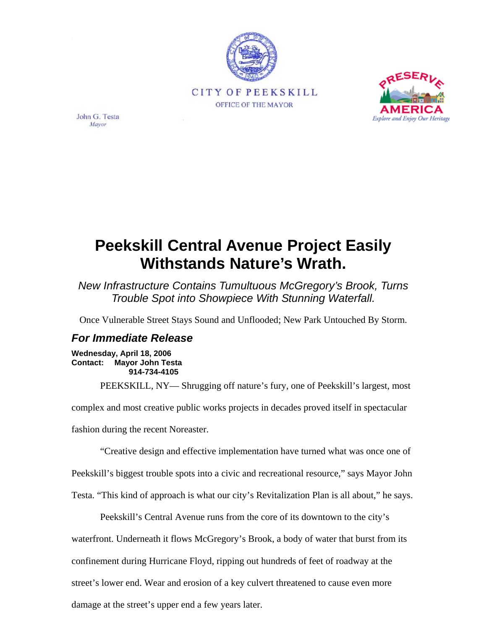



John G. Testa Mayor

## **Peekskill Central Avenue Project Easily Withstands Nature's Wrath.**

*New Infrastructure Contains Tumultuous McGregory's Brook, Turns Trouble Spot into Showpiece With Stunning Waterfall.* 

Once Vulnerable Street Stays Sound and Unflooded; New Park Untouched By Storm.

## *For Immediate Release*

**Wednesday, April 18, 2006 Contact: Mayor John Testa 914-734-4105** 

PEEKSKILL, NY— Shrugging off nature's fury, one of Peekskill's largest, most

complex and most creative public works projects in decades proved itself in spectacular

fashion during the recent Noreaster.

"Creative design and effective implementation have turned what was once one of

Peekskill's biggest trouble spots into a civic and recreational resource," says Mayor John

Testa. "This kind of approach is what our city's Revitalization Plan is all about," he says.

Peekskill's Central Avenue runs from the core of its downtown to the city's

waterfront. Underneath it flows McGregory's Brook, a body of water that burst from its confinement during Hurricane Floyd, ripping out hundreds of feet of roadway at the street's lower end. Wear and erosion of a key culvert threatened to cause even more damage at the street's upper end a few years later.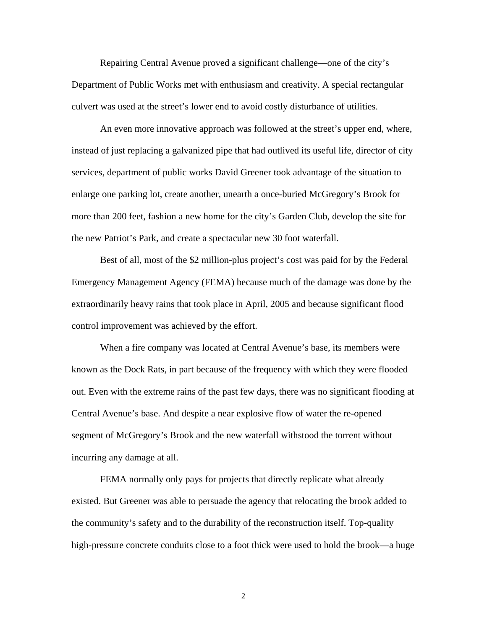Repairing Central Avenue proved a significant challenge—one of the city's Department of Public Works met with enthusiasm and creativity. A special rectangular culvert was used at the street's lower end to avoid costly disturbance of utilities.

An even more innovative approach was followed at the street's upper end, where, instead of just replacing a galvanized pipe that had outlived its useful life, director of city services, department of public works David Greener took advantage of the situation to enlarge one parking lot, create another, unearth a once-buried McGregory's Brook for more than 200 feet, fashion a new home for the city's Garden Club, develop the site for the new Patriot's Park, and create a spectacular new 30 foot waterfall.

Best of all, most of the \$2 million-plus project's cost was paid for by the Federal Emergency Management Agency (FEMA) because much of the damage was done by the extraordinarily heavy rains that took place in April, 2005 and because significant flood control improvement was achieved by the effort.

When a fire company was located at Central Avenue's base, its members were known as the Dock Rats, in part because of the frequency with which they were flooded out. Even with the extreme rains of the past few days, there was no significant flooding at Central Avenue's base. And despite a near explosive flow of water the re-opened segment of McGregory's Brook and the new waterfall withstood the torrent without incurring any damage at all.

FEMA normally only pays for projects that directly replicate what already existed. But Greener was able to persuade the agency that relocating the brook added to the community's safety and to the durability of the reconstruction itself. Top-quality high-pressure concrete conduits close to a foot thick were used to hold the brook—a huge

2